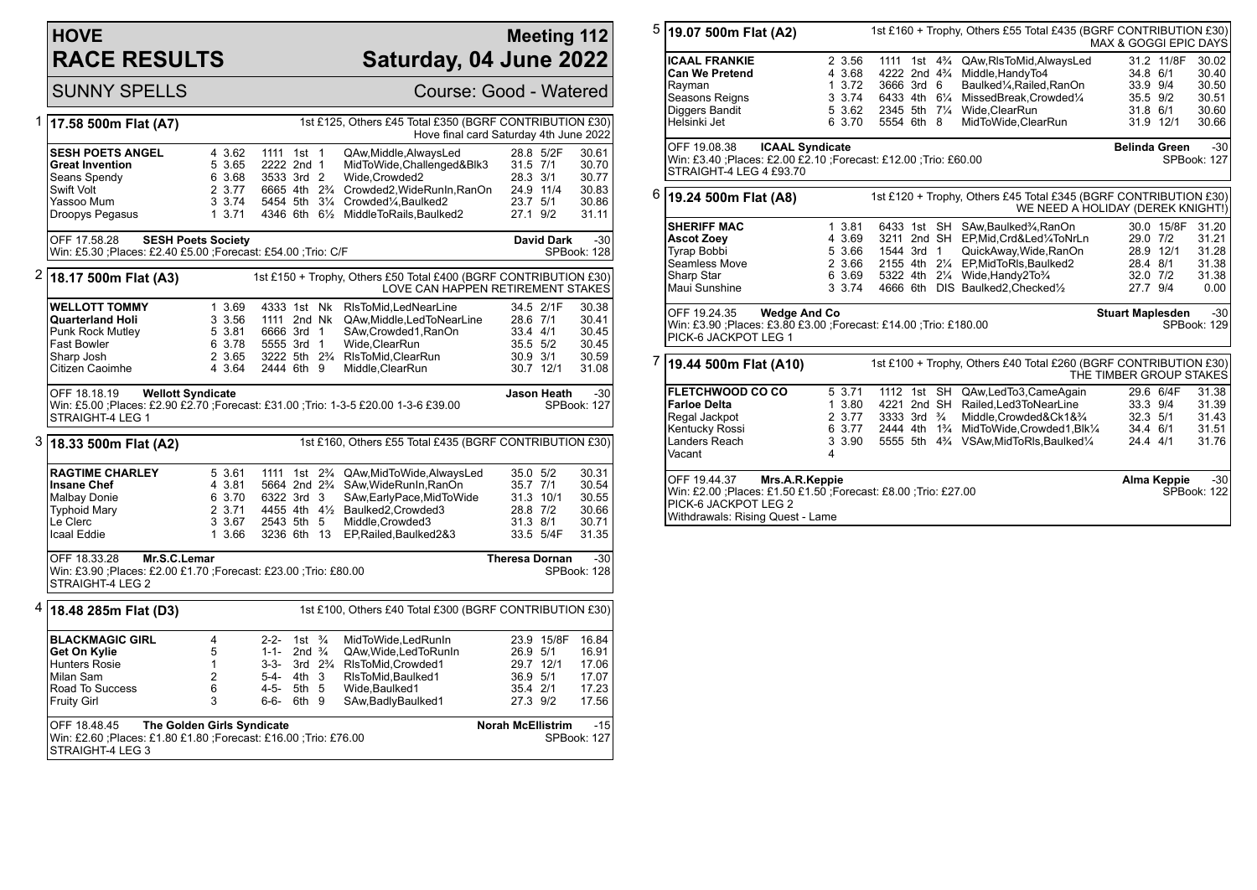## **HOVE RACE RESULTS**

## **Meeting 112 Saturday, 04 June 2022**

SUNNY SPELLS Course: Good - Watered

| 1 | 1st £125, Others £45 Total £350 (BGRF CONTRIBUTION £30)<br>17.58 500m Flat (A7)<br>Hove final card Saturday 4th June 2022                                              |                                                          |                                                                                                                             |                                                       |                                        |                                                                                                                                                                                      |                                              |                                              |                                                             |
|---|------------------------------------------------------------------------------------------------------------------------------------------------------------------------|----------------------------------------------------------|-----------------------------------------------------------------------------------------------------------------------------|-------------------------------------------------------|----------------------------------------|--------------------------------------------------------------------------------------------------------------------------------------------------------------------------------------|----------------------------------------------|----------------------------------------------|-------------------------------------------------------------|
|   | <b>SESH POETS ANGEL</b><br><b>Great Invention</b><br>Seans Spendy<br>Swift Volt<br>Yassoo Mum<br>Droopys Pegasus                                                       | 4 3.62<br>5 3.65<br>6 3.68<br>2 3.77<br>3 3.74<br>13.71  | 1111 1st 1<br>2222 2nd 1<br>3533 3rd 2<br>6665 4th 2 <sup>3</sup> / <sub>4</sub>                                            |                                                       |                                        | QAw, Middle, Always Led<br>MidToWide,Challenged&Blk3<br>Wide, Crowded2<br>Crowded2, WideRunIn, RanOn<br>5454 5th 31/4 Crowded1/4, Baulked2<br>4346 6th 61/2 MiddleToRails, Baulked2  | 31.5 7/1<br>28.3 3/1<br>23.7 5/1<br>27.1 9/2 | 28.8 5/2F<br>24.9 11/4                       | 30.61<br>30.70<br>30.77<br>30.83<br>30.86<br>31.11          |
|   | OFF 17.58.28<br><b>SESH Poets Society</b><br>Win: £5.30 ;Places: £2.40 £5.00 ;Forecast: £54.00 ;Trio: C/F                                                              |                                                          |                                                                                                                             |                                                       |                                        |                                                                                                                                                                                      |                                              | <b>David Dark</b>                            | $-30$<br>SPBook: 128                                        |
| 2 | 18.17 500m Flat (A3)                                                                                                                                                   |                                                          |                                                                                                                             |                                                       |                                        | 1st £150 + Trophy, Others £50 Total £400 (BGRF CONTRIBUTION £30)<br>LOVE CAN HAPPEN RETIREMENT STAKES                                                                                |                                              |                                              |                                                             |
|   | <b>WELLOTT TOMMY</b><br><b>Quarterland Holi</b><br>Punk Rock Mutley<br><b>Fast Bowler</b><br>Sharp Josh<br>Citizen Caoimhe<br>OFF 18.18.19<br><b>Wellott Syndicate</b> | 1 3.69<br>3 3.56<br>5 3.81<br>6 3.78<br>2 3.65<br>4 3.64 | 4333 1st Nk<br>1111 2nd Nk<br>6666 3rd 1<br>5555 3rd 1<br>2444 6th 9                                                        |                                                       |                                        | RIsToMid, LedNearLine<br>QAw, Middle, Led To Near Line<br>SAw,Crowded1,RanOn<br>Wide.ClearRun<br>3222 5th 2 <sup>3</sup> / <sub>4</sub> RIsToMid, ClearRun<br>Middle, ClearRun       | 28.6 7/1<br>33.4 4/1<br>35.5 5/2<br>30.9 3/1 | 34.5 2/1F<br>30.7 12/1<br><b>Jason Heath</b> | 30.38<br>30.41<br>30.45<br>30.45<br>30.59<br>31.08<br>$-30$ |
|   | Win: £5.00 :Places: £2.90 £2.70 :Forecast: £31.00 :Trio: 1-3-5 £20.00 1-3-6 £39.00<br>STRAIGHT-4 LEG 1                                                                 |                                                          |                                                                                                                             |                                                       |                                        |                                                                                                                                                                                      |                                              |                                              | <b>SPBook: 127</b>                                          |
| 3 | 18.33 500m Flat (A2)                                                                                                                                                   |                                                          |                                                                                                                             |                                                       |                                        | 1st £160, Others £55 Total £435 (BGRF CONTRIBUTION £30)                                                                                                                              |                                              |                                              |                                                             |
|   | <b>RAGTIME CHARLEY</b><br><b>Insane Chef</b><br>Malbay Donie<br><b>Typhoid Mary</b><br>Le Clerc<br>Icaal Eddie                                                         | 5 3.61<br>4 3.81<br>6 3.70<br>2 3.71<br>3 3.67<br>1 3.66 | 1111 1st 2 <sup>3</sup> / <sub>4</sub><br>5664 2nd 2 <sup>3</sup> / <sub>4</sub><br>6322 3rd 3<br>2543 5th 5<br>3236 6th 13 |                                                       |                                        | QAw, MidToWide, Always Led<br>SAw, WideRunIn, RanOn<br>SAw, Early Pace, Mid To Wide<br>4455 4th 41/ <sub>2</sub> Baulked 2. Crowded 3<br>Middle, Crowded3<br>EP, Railed, Baulked 2&3 | 35.0 5/2<br>35.7 7/1<br>28.8 7/2<br>31.3 8/1 | 31.3 10/1<br>33.5 5/4F                       | 30.31<br>30.54<br>30.55<br>30.66<br>30.71<br>31.35          |
|   | OFF 18.33.28<br>Mr.S.C.Lemar<br><b>Theresa Dornan</b><br>Win: £3.90 ; Places: £2.00 £1.70 ; Forecast: £23.00 ; Trio: £80.00<br>SPBook: 128<br>STRAIGHT-4 LEG 2         |                                                          |                                                                                                                             |                                                       |                                        |                                                                                                                                                                                      |                                              | $-30$                                        |                                                             |
| 4 | 1st £100, Others £40 Total £300 (BGRF CONTRIBUTION £30)<br>18.48 285m Flat (D3)                                                                                        |                                                          |                                                                                                                             |                                                       |                                        |                                                                                                                                                                                      |                                              |                                              |                                                             |
|   | <b>BLACKMAGIC GIRL</b><br>Get On Kylie<br><b>Hunters Rosie</b><br>Milan Sam<br>Road To Success<br><b>Fruity Girl</b>                                                   | 4<br>5<br>$\mathbf{1}$<br>2<br>6<br>3                    | $2 - 2 -$<br>$1 - 1 -$<br>$3 - 3 -$<br>5-4-<br>4-5-<br>6-6-                                                                 | 1st<br>2nd $\frac{3}{4}$<br>$4th$ 3<br>5th 5<br>6th 9 | $\frac{3}{4}$<br>$3rd \t 2\frac{3}{4}$ | MidToWide.LedRunIn<br>QAw, Wide, Led To Run In<br>RIsToMid, Crowded1<br>RIsToMid.Baulked1<br>Wide, Baulked1<br>SAw, Badly Baulked 1                                                  | 26.9 5/1<br>36.9 5/1<br>35.4 2/1<br>27.3 9/2 | 23.9 15/8F<br>29.7 12/1                      | 16.84<br>16.91<br>17.06<br>17.07<br>17.23<br>17.56          |
|   | The Golden Girls Syndicate<br>OFF 18.48.45<br>Win: £2.60 ; Places: £1.80 £1.80 ; Forecast: £16.00 ; Trio: £76.00<br>STRAIGHT-4 LEG 3                                   |                                                          |                                                                                                                             |                                                       |                                        |                                                                                                                                                                                      | <b>Norah McEllistrim</b>                     |                                              | $-15$<br>SPBook: 127                                        |

| 5 | 19.07 500m Flat (A2)                                                                                                                                                               |                                                          |                                                                                     | 1st £160 + Trophy, Others £55 Total £435 (BGRF CONTRIBUTION £30)                                                                                                                                                            | MAX & GOGGI EPIC DAYS                                                   |                                                    |  |  |
|---|------------------------------------------------------------------------------------------------------------------------------------------------------------------------------------|----------------------------------------------------------|-------------------------------------------------------------------------------------|-----------------------------------------------------------------------------------------------------------------------------------------------------------------------------------------------------------------------------|-------------------------------------------------------------------------|----------------------------------------------------|--|--|
|   | <b>ICAAL FRANKIE</b><br><b>Can We Pretend</b><br>Rayman<br>Seasons Reigns<br>Diggers Bandit<br>Helsinki Jet                                                                        | 2 3.56<br>4 3.68<br>1 3.72<br>3 3.74<br>5 3.62<br>6 3.70 | 4222 2nd 4 <sup>3</sup> / <sub>4</sub><br>3666 3rd 6<br>6433 4th 61/4<br>5554 6th 8 | 1111 1st 4 <sup>3</sup> / <sub>4</sub> QAw, RIs To Mid, Always Led<br>Middle, HandyTo4<br>Baulked1/4, Railed, RanOn<br>MissedBreak, Crowded <sup>1/4</sup><br>2345 5th 71/4 Wide, Clear Run<br>MidToWide, ClearRun          | 31.2 11/8F<br>34.8 6/1<br>33.9 9/4<br>35.5 9/2<br>31.8 6/1<br>31.9 12/1 | 30.02<br>30.40<br>30.50<br>30.51<br>30.60<br>30.66 |  |  |
|   | OFF 19.08.38<br>Win: £3.40 ;Places: £2.00 £2.10 ;Forecast: £12.00 ;Trio: £60.00<br>STRAIGHT-4 LEG 4 £93.70                                                                         | <b>ICAAL Syndicate</b>                                   |                                                                                     |                                                                                                                                                                                                                             | <b>Belinda Green</b>                                                    | $-30$<br>SPBook: 127                               |  |  |
| 6 | 19.24 500m Flat (A8)                                                                                                                                                               |                                                          |                                                                                     | 1st £120 + Trophy, Others £45 Total £345 (BGRF CONTRIBUTION £30)                                                                                                                                                            | WE NEED A HOLIDAY (DEREK KNIGHT!)                                       |                                                    |  |  |
|   | <b>SHERIFF MAC</b><br><b>Ascot Zoey</b><br><b>Tyrap Bobbi</b><br>Seamless Move<br>Sharp Star<br>Maui Sunshine                                                                      | 1 3.81<br>4 3.69<br>5 3.66<br>2 3.66<br>6 3.69<br>3 3.74 | 1544 3rd 1                                                                          | 6433 1st SH SAw, Baulked3/4, RanOn<br>3211 2nd SH EP, Mid, Crd&Led1/4ToNrLn<br>QuickAway,Wide,RanOn<br>2155 4th 21/4 EP, Mid To RIs, Baulked 2<br>5322 4th 21/4 Wide, Handy 2To 3/4<br>4666 6th DIS Baulked2, Checked1/2    | 30.0 15/8F<br>29.0 7/2<br>28.9 12/1<br>28.4 8/1<br>32.0 7/2<br>27.7 9/4 | 31.20<br>31.21<br>31.28<br>31.38<br>31.38<br>0.00  |  |  |
|   | OFF 19.24.35<br><b>Wedge And Co</b><br><b>Stuart Maplesden</b><br>$-30$<br>Win: £3.90 ;Places: £3.80 £3.00 ;Forecast: £14.00 ;Trio: £180.00<br>SPBook: 129<br>PICK-6 JACKPOT LEG 1 |                                                          |                                                                                     |                                                                                                                                                                                                                             |                                                                         |                                                    |  |  |
| 7 | 19.44 500m Flat (A10)                                                                                                                                                              |                                                          |                                                                                     | 1st £100 + Trophy, Others £40 Total £260 (BGRF CONTRIBUTION £30)                                                                                                                                                            | THE TIMBER GROUP STAKES                                                 |                                                    |  |  |
|   | <b>FLETCHWOOD CO CO</b><br><b>Farloe Delta</b><br>Regal Jackpot<br>Kentucky Rossi<br>Landers Reach<br>Vacant                                                                       | 5 3.71<br>1 3.80<br>2 3.77<br>6 3.77<br>3 3.90<br>4      | 4221 2nd SH<br>3333 3rd $\frac{3}{4}$<br>2444 4th 1 <sup>3</sup> / <sub>4</sub>     | 1112 1st SH QAw, Led To 3, Came Again<br>Railed, Led 3 To Near Line<br>Middle, Crowded&Ck1&3/4<br>MidToWide,Crowded1,Blk1⁄4<br>5555 5th 4 <sup>3</sup> / <sub>4</sub> VSAw, Mid To RIs, Baulked <sup>1</sup> / <sub>4</sub> | 29.6 6/4F<br>33.3 9/4<br>32.3 5/1<br>34.4 6/1<br>24.4 4/1               | 31.38<br>31.39<br>31.43<br>31.51<br>31.76          |  |  |
|   | OFF 19.44.37<br>Win: £2.00 ; Places: £1.50 £1.50 ; Forecast: £8.00 ; Trio: £27.00<br>PICK-6 JACKPOT LEG 2<br>Withdrawals: Rising Quest - Lame                                      | Mrs.A.R.Keppie                                           |                                                                                     |                                                                                                                                                                                                                             | Alma Keppie                                                             | $-30$<br>SPBook: 122                               |  |  |